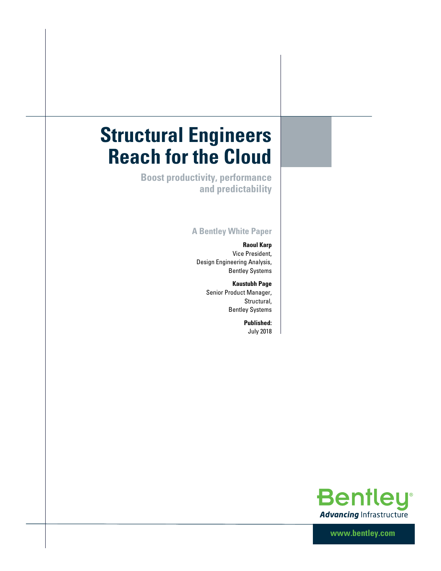# **Structural Engineers Reach for the Cloud**

**Boost productivity, performance and predictability** 

## **A Bentley White Paper**

**Raoul Karp** Vice President, Design Engineering Analysis, Bentley Systems

> **Kaustubh Page** Senior Product Manager, Structural, Bentley Systems

> > **Published:** July 2018



**www.bentley.com**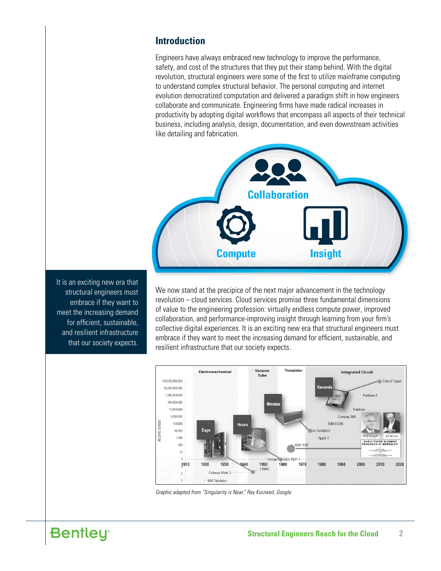## **Introduction**

Engineers have always embraced new technology to improve the performance, safety, and cost of the structures that they put their stamp behind. With the digital revolution, structural engineers were some of the first to utilize mainframe computing to understand complex structural behavior. The personal computing and internet evolution democratized computation and delivered a paradigm shift in how engineers collaborate and communicate. Engineering firms have made radical increases in productivity by adopting digital workflows that encompass all aspects of their technical business, including analysis, design, documentation, and even downstream activities like detailing and fabrication.



It is an exciting new era that structural engineers must embrace if they want to meet the increasing demand for efficient, sustainable, and resilient infrastructure that our society expects.

We now stand at the precipice of the next major advancement in the technology revolution – cloud services. Cloud services promise three fundamental dimensions of value to the engineering profession: virtually endless compute power, improved collaboration, and performance-improving insight through learning from your firm's collective digital experiences. It is an exciting new era that structural engineers must embrace if they want to meet the increasing demand for efficient, sustainable, and resilient infrastructure that our society expects.



*Graphic adapted from "Singularity is Near," Ray Kurzweil, Google*

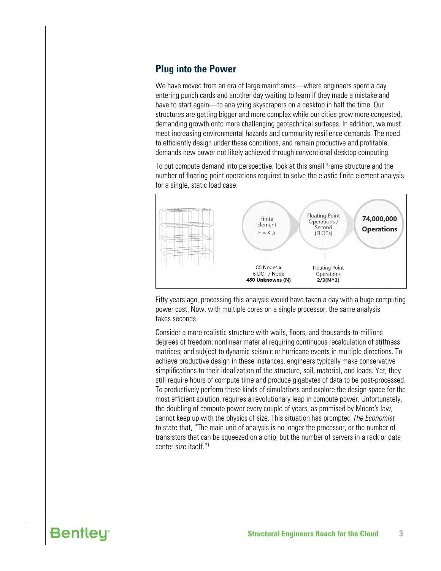# **Plug into the Power**

We have moved from an era of large mainframes—where engineers spent a day entering punch cards and another day waiting to learn if they made a mistake and have to start again—to analyzing skyscrapers on a desktop in half the time. Our structures are getting bigger and more complex while our cities grow more congested, demanding growth onto more challenging geotechnical surfaces. In addition, we must meet increasing environmental hazards and community resilience demands. The need to efficiently design under these conditions, and remain productive and profitable, demands new power not likely achieved through conventional desktop computing.

To put compute demand into perspective, look at this small frame structure and the number of floating point operations required to solve the elastic finite element analysis for a single, static load case.



Fifty years ago, processing this analysis would have taken a day with a huge computing power cost. Now, with multiple cores on a single processor, the same analysis takes seconds.

Consider a more realistic structure with walls, floors, and thousands-to-millions degrees of freedom; nonlinear material requiring continuous recalculation of stiffness matrices; and subject to dynamic seismic or hurricane events in multiple directions. To achieve productive design in these instances, engineers typically make conservative simplifications to their idealization of the structure, soil, material, and loads. Yet, they still require hours of compute time and produce gigabytes of data to be post-processed. To productively perform these kinds of simulations and explore the design space for the most efficient solution, requires a revolutionary leap in compute power. Unfortunately, the doubling of compute power every couple of years, as promised by Moore's law, cannot keep up with the physics of size. This situation has prompted *The Economist* to state that, "The main unit of analysis is no longer the processor, or the number of transistors that can be squeezed on a chip, but the number of servers in a rack or data center size itself."1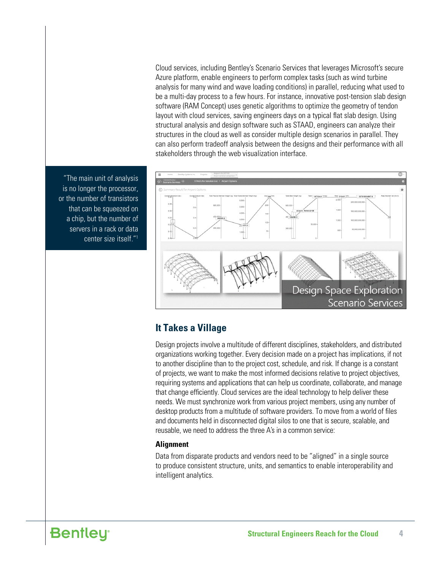Cloud services, including Bentley's Scenario Services that leverages Microsoft's secure Azure platform, enable engineers to perform complex tasks (such as wind turbine analysis for many wind and wave loading conditions) in parallel, reducing what used to be a multi-day process to a few hours. For instance, innovative post-tension slab design software (RAM Concept) uses genetic algorithms to optimize the geometry of tendon layout with cloud services, saving engineers days on a typical flat slab design. Using structural analysis and design software such as STAAD, engineers can analyze their structures in the cloud as well as consider multiple design scenarios in parallel. They can also perform tradeoff analysis between the designs and their performance with all stakeholders through the web visualization interface.



**It Takes a Village**

Design projects involve a multitude of different disciplines, stakeholders, and distributed organizations working together. Every decision made on a project has implications, if not to another discipline than to the project cost, schedule, and risk. If change is a constant of projects, we want to make the most informed decisions relative to project objectives, requiring systems and applications that can help us coordinate, collaborate, and manage that change efficiently. Cloud services are the ideal technology to help deliver these needs. We must synchronize work from various project members, using any number of desktop products from a multitude of software providers. To move from a world of files and documents held in disconnected digital silos to one that is secure, scalable, and reusable, we need to address the three A's in a common service:

#### **Alignment**

Data from disparate products and vendors need to be "aligned" in a single source to produce consistent structure, units, and semantics to enable interoperability and intelligent analytics.

"The main unit of analysis is no longer the processor, or the number of transistors that can be squeezed on a chip, but the number of servers in a rack or data center size itself."1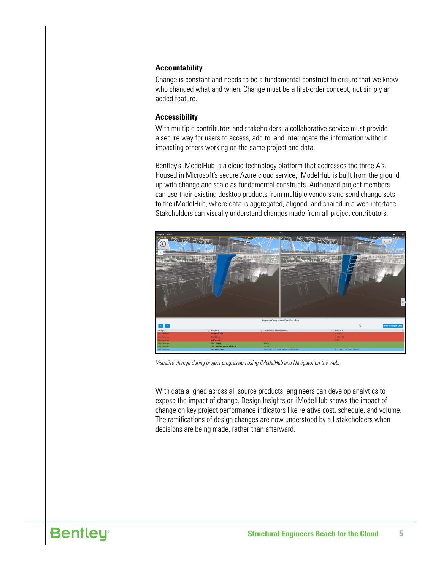#### **Accountability**

Change is constant and needs to be a fundamental construct to ensure that we know who changed what and when. Change must be a first-order concept, not simply an added feature.

#### **Accessibility**

With multiple contributors and stakeholders, a collaborative service must provide a secure way for users to access, add to, and interrogate the information without impacting others working on the same project and data.

Bentley's iModelHub is a cloud technology platform that addresses the three A's. Housed in Microsoft's secure Azure cloud service, iModelHub is built from the ground up with change and scale as fundamental constructs. Authorized project members can use their existing desktop products from multiple vendors and send change sets to the iModelHub, where data is aggregated, aligned, and shared in a web interface. Stakeholders can visually understand changes made from all project contributors.



*Visualize change during project progression using iModelHub and Navigator on the web.*

With data aligned across all source products, engineers can develop analytics to expose the impact of change. Design Insights on iModelHub shows the impact of change on key project performance indicators like relative cost, schedule, and volume. The ramifications of design changes are now understood by all stakeholders when decisions are being made, rather than afterward.

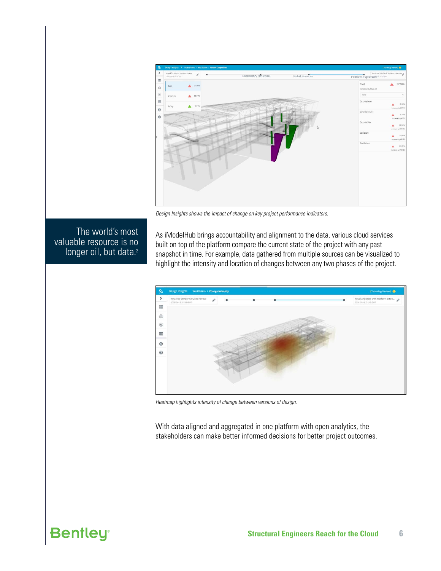

*Design Insights shows the impact of change on key project performance indicators.*

# The world's most valuable resource is no longer oil, but data.<sup>2</sup>

As iModelHub brings accountability and alignment to the data, various cloud services built on top of the platform compare the current state of the project with any past snapshot in time. For example, data gathered from multiple sources can be visualized to highlight the intensity and location of changes between any two phases of the project.



*Heatmap highlights intensity of change between versions of design.*

With data aligned and aggregated in one platform with open analytics, the stakeholders can make better informed decisions for better project outcomes.

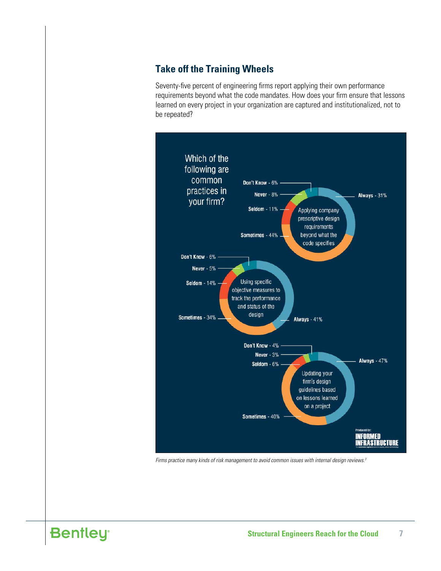# **Take off the Training Wheels**

Seventy-five percent of engineering firms report applying their own performance requirements beyond what the code mandates. How does your firm ensure that lessons learned on every project in your organization are captured and institutionalized, not to be repeated?



*Firms practice many kinds of risk management to avoid common issues with internal design reviews.3*

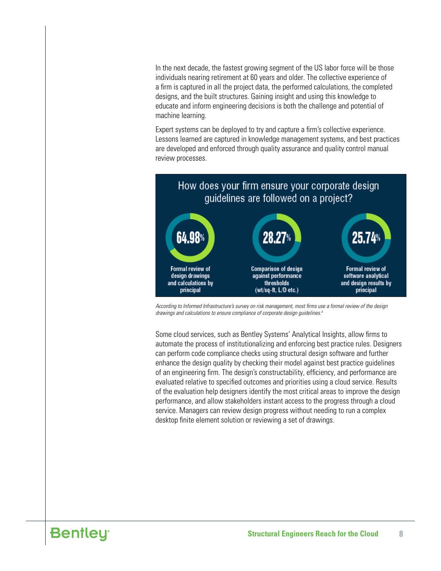In the next decade, the fastest growing segment of the US labor force will be those individuals nearing retirement at 60 years and older. The collective experience of a firm is captured in all the project data, the performed calculations, the completed designs, and the built structures. Gaining insight and using this knowledge to educate and inform engineering decisions is both the challenge and potential of machine learning.

Expert systems can be deployed to try and capture a firm's collective experience. Lessons learned are captured in knowledge management systems, and best practices are developed and enforced through quality assurance and quality control manual review processes.



*According to Informed Infrastructure's survey on risk management, most firms use a formal review of the design drawings and calculations to ensure compliance of corporate design guidelines.4*

Some cloud services, such as Bentley Systems' Analytical Insights, allow firms to automate the process of institutionalizing and enforcing best practice rules. Designers can perform code compliance checks using structural design software and further enhance the design quality by checking their model against best practice guidelines of an engineering firm. The design's constructability, efficiency, and performance are evaluated relative to specified outcomes and priorities using a cloud service. Results of the evaluation help designers identify the most critical areas to improve the design performance, and allow stakeholders instant access to the progress through a cloud service. Managers can review design progress without needing to run a complex desktop finite element solution or reviewing a set of drawings.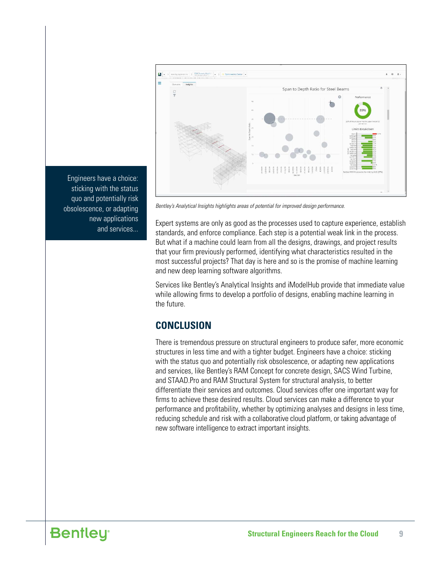

Engineers have a choice: sticking with the status quo and potentially risk obsolescence, or adapting new applications and services...

*Bentley's Analytical Insights highlights areas of potential for improved design performance.*

Expert systems are only as good as the processes used to capture experience, establish standards, and enforce compliance. Each step is a potential weak link in the process. But what if a machine could learn from all the designs, drawings, and project results that your firm previously performed, identifying what characteristics resulted in the most successful projects? That day is here and so is the promise of machine learning and new deep learning software algorithms.

Services like Bentley's Analytical Insights and iModelHub provide that immediate value while allowing firms to develop a portfolio of designs, enabling machine learning in the future.

## **CONCLUSION**

There is tremendous pressure on structural engineers to produce safer, more economic structures in less time and with a tighter budget. Engineers have a choice: sticking with the status quo and potentially risk obsolescence, or adapting new applications and services, like Bentley's RAM Concept for concrete design, SACS Wind Turbine, and STAAD.Pro and RAM Structural System for structural analysis, to better differentiate their services and outcomes. Cloud services offer one important way for firms to achieve these desired results. Cloud services can make a difference to your performance and profitability, whether by optimizing analyses and designs in less time, reducing schedule and risk with a collaborative cloud platform, or taking advantage of new software intelligence to extract important insights.